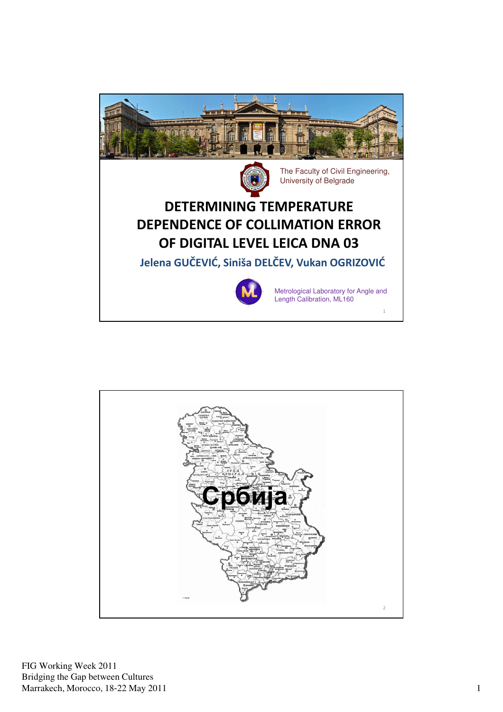



FIG Working Week 2011 Bridging the Gap between Cultures Marrakech, Morocco, 18-22 May 2011 1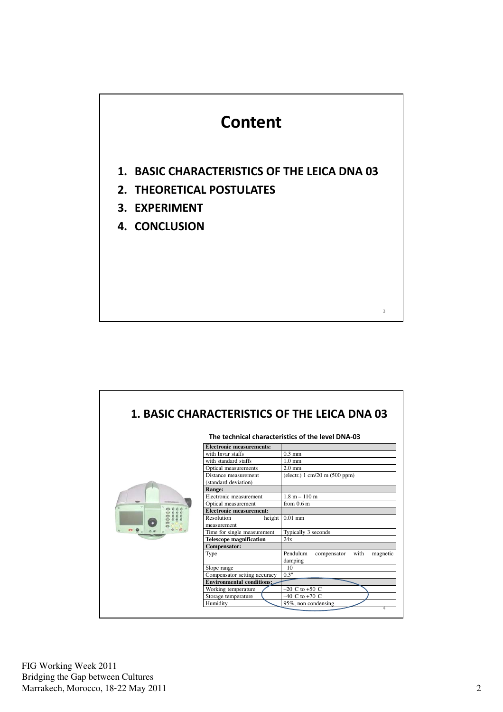

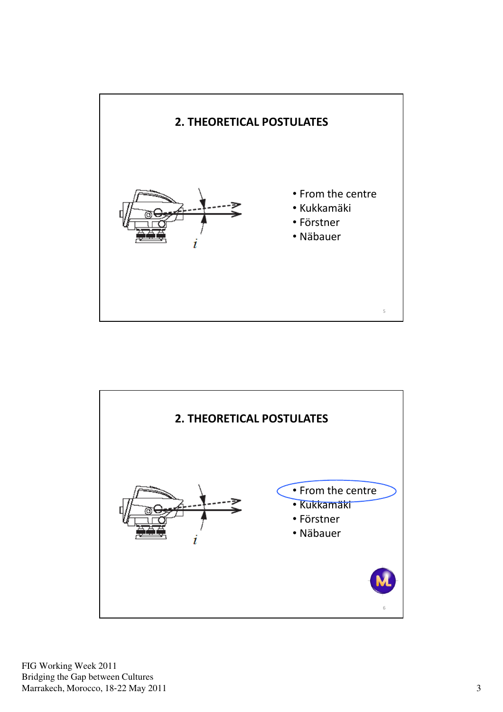

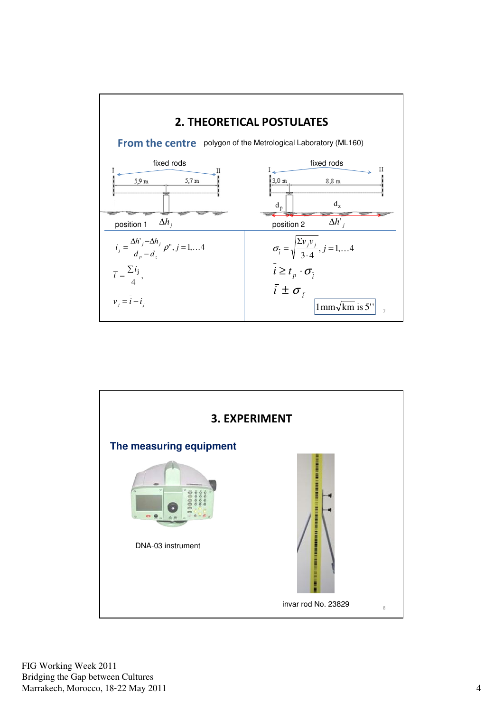

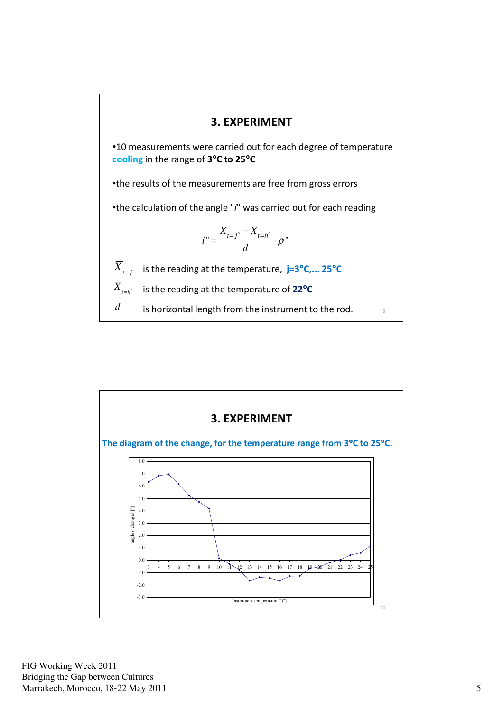## 3. EXPERIMENT

•10 measurements were carried out for each degree of temperature cooling in the range of 3°C to 25°C

•the results of the measurements are free from gross errors

•the calculation of the angle "i" was carried out for each reading

$$
i'' = \frac{\overline{X}_{t=j} - \overline{X}_{t=h^{\circ}}}{d} \cdot \rho''
$$

 $X_{t=j^{\circ}}$  is the reading at the temperature, j=3°C,... 25°C

 $X_{H=h^{\circ}}$  is the reading at the temperature of 22°C

 $d$  is horizontal length from the instrument to the rod.  $\frac{1}{9}$ 



FIG Working Week 2011 Bridging the Gap between Cultures Marrakech, Morocco, 18-22 May 2011 5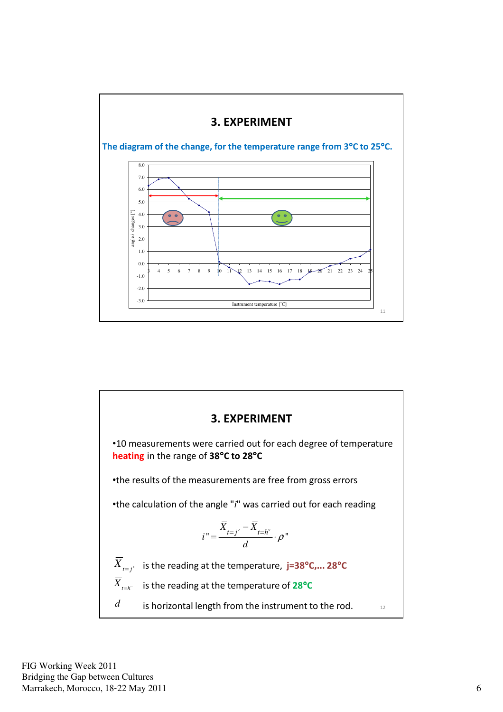



FIG Working Week 2011 Bridging the Gap between Cultures Marrakech, Morocco, 18-22 May 2011 6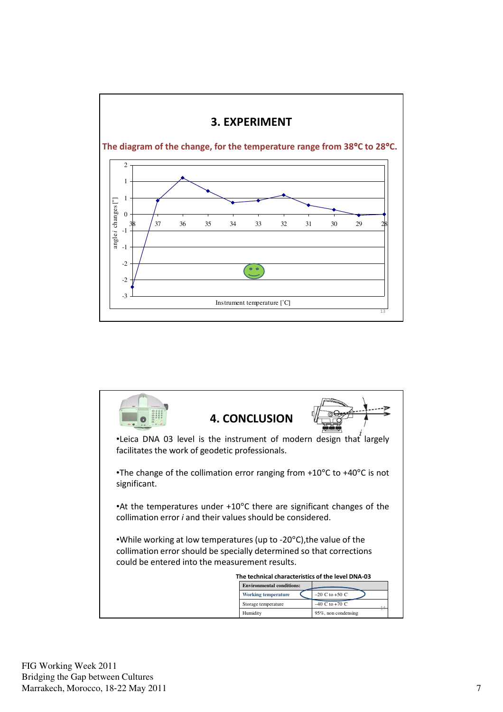